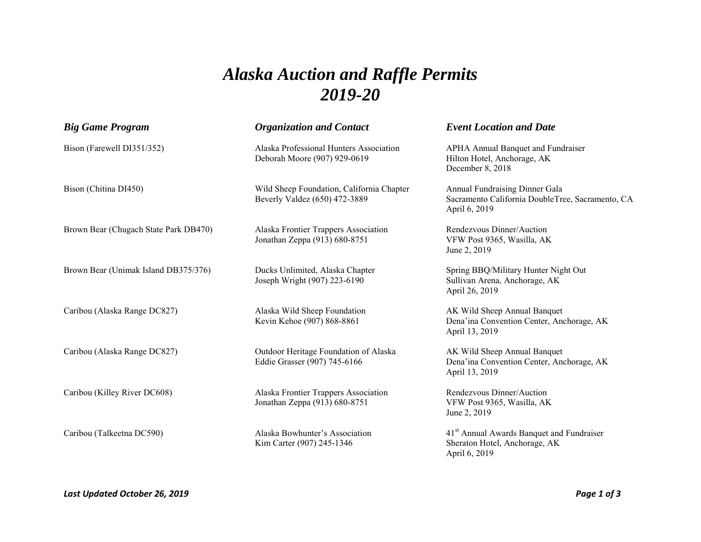## *Alaska Auction and Raffle Permits 2019-20*

| <b>Big Game Program</b>               | <b>Organization and Contact</b>                                            | <b>Event Location and Date</b>                                                                          |
|---------------------------------------|----------------------------------------------------------------------------|---------------------------------------------------------------------------------------------------------|
| Bison (Farewell DI351/352)            | Alaska Professional Hunters Association<br>Deborah Moore (907) 929-0619    | APHA Annual Banquet and Fundraiser<br>Hilton Hotel, Anchorage, AK<br>December 8, 2018                   |
| Bison (Chitina DI450)                 | Wild Sheep Foundation, California Chapter<br>Beverly Valdez (650) 472-3889 | Annual Fundraising Dinner Gala<br>Sacramento California DoubleTree, Sacramento, CA<br>April 6, 2019     |
| Brown Bear (Chugach State Park DB470) | Alaska Frontier Trappers Association<br>Jonathan Zeppa (913) 680-8751      | Rendezvous Dinner/Auction<br>VFW Post 9365, Wasilla, AK<br>June 2, 2019                                 |
| Brown Bear (Unimak Island DB375/376)  | Ducks Unlimited, Alaska Chapter<br>Joseph Wright (907) 223-6190            | Spring BBQ/Military Hunter Night Out<br>Sullivan Arena, Anchorage, AK<br>April 26, 2019                 |
| Caribou (Alaska Range DC827)          | Alaska Wild Sheep Foundation<br>Kevin Kehoe (907) 868-8861                 | AK Wild Sheep Annual Banquet<br>Dena'ina Convention Center, Anchorage, AK<br>April 13, 2019             |
| Caribou (Alaska Range DC827)          | Outdoor Heritage Foundation of Alaska<br>Eddie Grasser (907) 745-6166      | AK Wild Sheep Annual Banquet<br>Dena'ina Convention Center, Anchorage, AK<br>April 13, 2019             |
| Caribou (Killey River DC608)          | Alaska Frontier Trappers Association<br>Jonathan Zeppa (913) 680-8751      | Rendezvous Dinner/Auction<br>VFW Post 9365, Wasilla, AK<br>June 2, 2019                                 |
| Caribou (Talkeetna DC590)             | Alaska Bowhunter's Association<br>Kim Carter (907) 245-1346                | 41 <sup>st</sup> Annual Awards Banquet and Fundraiser<br>Sheraton Hotel, Anchorage, AK<br>April 6, 2019 |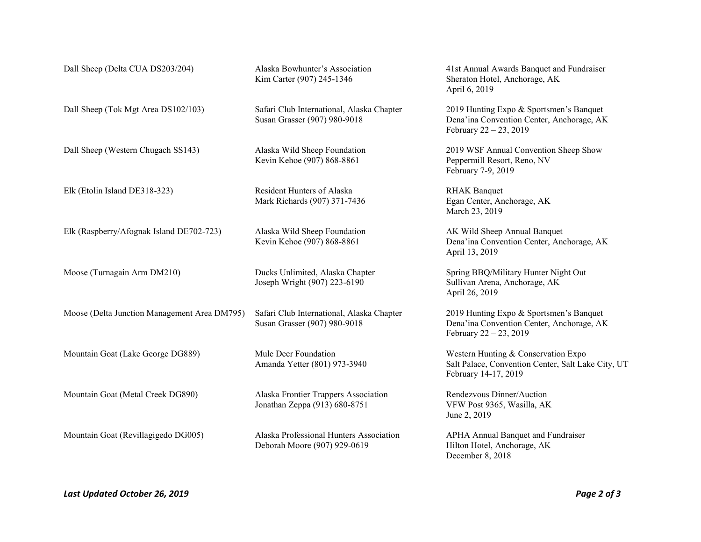| Dall Sheep (Delta CUA DS203/204)             | Alaska Bowhunter's Association<br>Kim Carter (907) 245-1346               | 41st Annual Awards Banquet and Fundraiser<br>Sheraton Hotel, Anchorage, AK<br>April 6, 2019                       |
|----------------------------------------------|---------------------------------------------------------------------------|-------------------------------------------------------------------------------------------------------------------|
| Dall Sheep (Tok Mgt Area DS102/103)          | Safari Club International, Alaska Chapter<br>Susan Grasser (907) 980-9018 | 2019 Hunting Expo & Sportsmen's Banquet<br>Dena'ina Convention Center, Anchorage, AK<br>February $22 - 23$ , 2019 |
| Dall Sheep (Western Chugach SS143)           | Alaska Wild Sheep Foundation<br>Kevin Kehoe (907) 868-8861                | 2019 WSF Annual Convention Sheep Show<br>Peppermill Resort, Reno, NV<br>February 7-9, 2019                        |
| Elk (Etolin Island DE318-323)                | Resident Hunters of Alaska<br>Mark Richards (907) 371-7436                | <b>RHAK</b> Banquet<br>Egan Center, Anchorage, AK<br>March 23, 2019                                               |
| Elk (Raspberry/Afognak Island DE702-723)     | Alaska Wild Sheep Foundation<br>Kevin Kehoe (907) 868-8861                | AK Wild Sheep Annual Banquet<br>Dena'ina Convention Center, Anchorage, AK<br>April 13, 2019                       |
| Moose (Turnagain Arm DM210)                  | Ducks Unlimited, Alaska Chapter<br>Joseph Wright (907) 223-6190           | Spring BBQ/Military Hunter Night Out<br>Sullivan Arena, Anchorage, AK<br>April 26, 2019                           |
| Moose (Delta Junction Management Area DM795) | Safari Club International, Alaska Chapter<br>Susan Grasser (907) 980-9018 | 2019 Hunting Expo & Sportsmen's Banquet<br>Dena'ina Convention Center, Anchorage, AK<br>February 22 - 23, 2019    |
| Mountain Goat (Lake George DG889)            | Mule Deer Foundation<br>Amanda Yetter (801) 973-3940                      | Western Hunting & Conservation Expo<br>Salt Palace, Convention Center, Salt Lake City, UT<br>February 14-17, 2019 |
| Mountain Goat (Metal Creek DG890)            | Alaska Frontier Trappers Association<br>Jonathan Zeppa (913) 680-8751     | Rendezvous Dinner/Auction<br>VFW Post 9365, Wasilla, AK<br>June 2, 2019                                           |
| Mountain Goat (Revillagigedo DG005)          | Alaska Professional Hunters Association<br>Deborah Moore (907) 929-0619   | APHA Annual Banquet and Fundraiser<br>Hilton Hotel, Anchorage, AK<br>December 8, 2018                             |